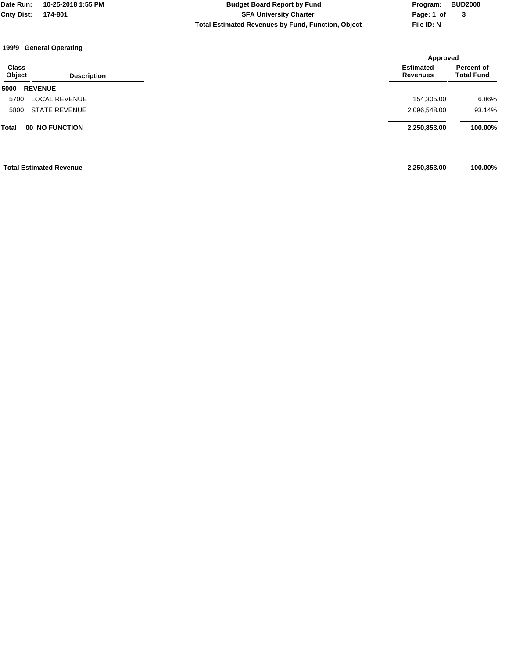**Total Estimated Revenues by Fund, Function, Object File ID: N Cnty Dist: 174-801 SFA University Charter Date Run: 10-25-2018 1:55 PM Budget Board Report by Fund Program: BUD2000**

**Page: 1 of 3**

#### **199/9 General Operating**

|                        |                                |                                     | Approved                        |  |
|------------------------|--------------------------------|-------------------------------------|---------------------------------|--|
| <b>Class</b><br>Object | <b>Description</b>             | <b>Estimated</b><br><b>Revenues</b> | Percent of<br><b>Total Fund</b> |  |
| 5000                   | <b>REVENUE</b>                 |                                     |                                 |  |
| 5700                   | <b>LOCAL REVENUE</b>           | 154,305.00                          | 6.86%                           |  |
| 5800                   | <b>STATE REVENUE</b>           | 2,096,548.00                        | 93.14%                          |  |
| Total                  | <b>00 NO FUNCTION</b>          | 2,250,853.00                        | 100.00%                         |  |
|                        | <b>Total Estimated Revenue</b> | 2,250,853.00                        | 100.00%                         |  |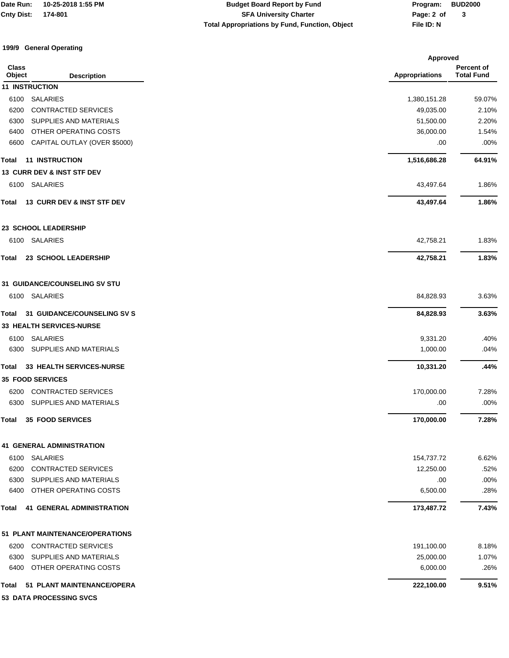## **Total Appropriations by Fund, Function, Object File ID: N Cnty Dist: 174-801 SFA University Charter Date Run: 10-25-2018 1:55 PM Budget Board Report by Fund Program: BUD2000**

**Page: 2 of 3**

### **199/9 General Operating**

|                        |                                       | <b>Approved</b>       |                                 |  |
|------------------------|---------------------------------------|-----------------------|---------------------------------|--|
| <b>Class</b><br>Object | <b>Description</b>                    | <b>Appropriations</b> | Percent of<br><b>Total Fund</b> |  |
|                        | <b>11 INSTRUCTION</b>                 |                       |                                 |  |
| 6100                   | <b>SALARIES</b>                       | 1,380,151.28          | 59.07%                          |  |
| 6200                   | <b>CONTRACTED SERVICES</b>            | 49,035.00             | 2.10%                           |  |
| 6300                   | SUPPLIES AND MATERIALS                | 51,500.00             | 2.20%                           |  |
| 6400                   | OTHER OPERATING COSTS                 | 36,000.00             | 1.54%                           |  |
| 6600                   | CAPITAL OUTLAY (OVER \$5000)          | .00                   | .00%                            |  |
| Total                  | <b>11 INSTRUCTION</b>                 | 1,516,686.28          | 64.91%                          |  |
|                        | <b>13 CURR DEV &amp; INST STF DEV</b> |                       |                                 |  |
| 6100                   | SALARIES                              | 43,497.64             | 1.86%                           |  |
| Total                  | 13 CURR DEV & INST STF DEV            | 43,497.64             | 1.86%                           |  |
|                        | 23 SCHOOL LEADERSHIP                  |                       |                                 |  |
|                        | 6100 SALARIES                         | 42,758.21             | 1.83%                           |  |
| Total                  | 23 SCHOOL LEADERSHIP                  | 42,758.21             | 1.83%                           |  |
|                        | <b>31 GUIDANCE/COUNSELING SV STU</b>  |                       |                                 |  |
|                        | 6100 SALARIES                         | 84,828.93             | 3.63%                           |  |
| Total                  | <b>31 GUIDANCE/COUNSELING SV S</b>    | 84,828.93             | 3.63%                           |  |
|                        | 33 HEALTH SERVICES-NURSE              |                       |                                 |  |
| 6100                   | SALARIES                              | 9,331.20              | .40%                            |  |
| 6300                   | SUPPLIES AND MATERIALS                | 1,000.00              | .04%                            |  |
| Total                  | 33 HEALTH SERVICES-NURSE              | 10,331.20             | .44%                            |  |
|                        | <b>35 FOOD SERVICES</b>               |                       |                                 |  |
| 6200                   | <b>CONTRACTED SERVICES</b>            | 170,000.00            | 7.28%                           |  |
| 6300                   | SUPPLIES AND MATERIALS                | .00                   | .00%                            |  |
| Total                  | <b>35 FOOD SERVICES</b>               | 170,000.00            | 7.28%                           |  |
|                        | <b>41 GENERAL ADMINISTRATION</b>      |                       |                                 |  |
| 6100                   | SALARIES                              | 154,737.72            | 6.62%                           |  |
| 6200                   | CONTRACTED SERVICES                   | 12,250.00             | .52%                            |  |
| 6300                   | SUPPLIES AND MATERIALS                | .00                   | .00%                            |  |
| 6400                   | OTHER OPERATING COSTS                 | 6,500.00              | .28%                            |  |
| Total                  | <b>41 GENERAL ADMINISTRATION</b>      | 173,487.72            | 7.43%                           |  |
|                        | 51 PLANT MAINTENANCE/OPERATIONS       |                       |                                 |  |
| 6200                   | <b>CONTRACTED SERVICES</b>            | 191,100.00            | 8.18%                           |  |
| 6300                   | SUPPLIES AND MATERIALS                | 25,000.00             | 1.07%                           |  |
| 6400                   | OTHER OPERATING COSTS                 | 6,000.00              | .26%                            |  |
| Total                  | 51 PLANT MAINTENANCE/OPERA            | 222,100.00            | 9.51%                           |  |
|                        | 53 DATA PROCESSING SVCS               |                       |                                 |  |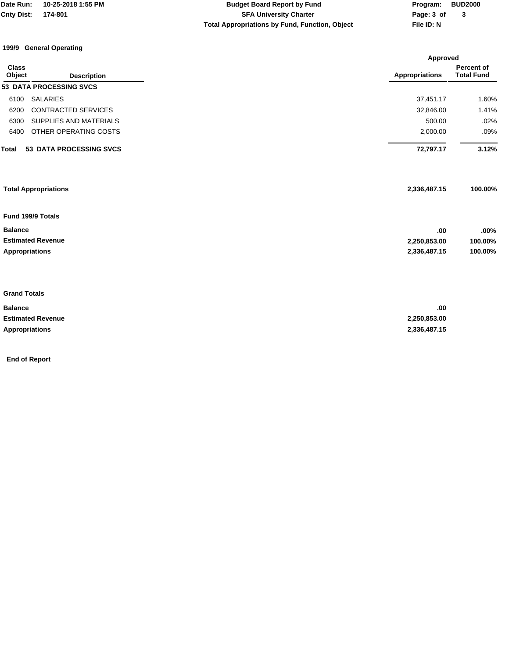| <b>Date Run:</b>  | 10-25-2018 1:55 PM | <b>Budget Board Report by Fund</b> | Program:   | <b>BUD2000</b> |
|-------------------|--------------------|------------------------------------|------------|----------------|
| <b>Cnty Dist:</b> | 174-801            | <b>SFA University Charter</b>      | Page: 3 of |                |

**Total Appropriations by Fund, Function, Object File ID: N**

**Page: 3 of 3**

#### **199/9 General Operating**

|                                |                                | Approved              |                                 |
|--------------------------------|--------------------------------|-----------------------|---------------------------------|
| <b>Class</b><br>Object         | <b>Description</b>             | <b>Appropriations</b> | Percent of<br><b>Total Fund</b> |
| <b>53 DATA PROCESSING SVCS</b> |                                |                       |                                 |
| <b>SALARIES</b><br>6100        |                                | 37,451.17             | 1.60%                           |
| 6200                           | CONTRACTED SERVICES            | 32,846.00             | 1.41%                           |
| 6300                           | SUPPLIES AND MATERIALS         | 500.00                | .02%                            |
| 6400                           | OTHER OPERATING COSTS          | 2,000.00              | .09%                            |
| Total                          | <b>53 DATA PROCESSING SVCS</b> | 72,797.17             | 3.12%                           |
| <b>Total Appropriations</b>    |                                | 2,336,487.15          | 100.00%                         |
| Fund 199/9 Totals              |                                |                       |                                 |
| <b>Balance</b>                 |                                | .00                   | .00%                            |
| <b>Estimated Revenue</b>       |                                | 2,250,853.00          | 100.00%                         |
| <b>Appropriations</b>          |                                | 2,336,487.15          | 100.00%                         |
|                                |                                |                       |                                 |
| <b>Grand Totals</b>            |                                |                       |                                 |
| $B - I - I - I$                |                                | $\sim$                |                                 |

| <b>Balance</b>           | .00          |
|--------------------------|--------------|
| <b>Estimated Revenue</b> | 2,250,853.00 |
| <b>Appropriations</b>    | 2.336.487.15 |

**End of Report**